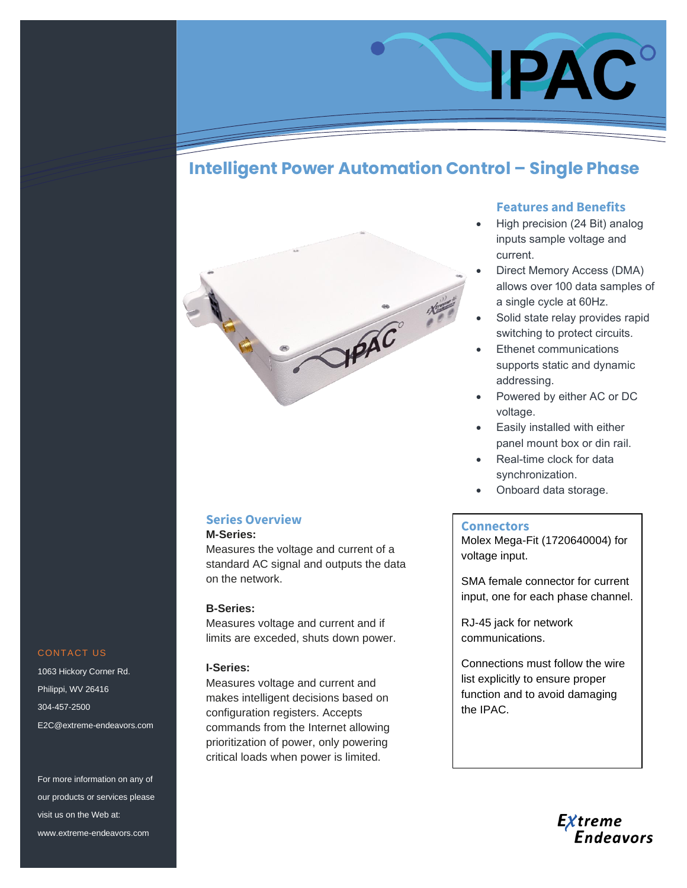# **Intelligent Power Automation Control – Single Phase**



# **Series Overview**

**M-Series:** 

Measures the voltage and current of a standard AC signal and outputs the data on the network.

#### **B-Series:**

Measures voltage and current and if limits are exceded, shuts down power.

### **I-Series:**

Measures voltage and current and makes intelligent decisions based on configuration registers. Accepts commands from the Internet allowing prioritization of power, only powering critical loads when power is limited.

## **Features and Benefits**

IPAC

- High precision (24 Bit) analog inputs sample voltage and current.
- Direct Memory Access (DMA) allows over 100 data samples of a single cycle at 60Hz.
- Solid state relay provides rapid switching to protect circuits.
- **Ethenet communications** supports static and dynamic addressing.
- Powered by either AC or DC voltage.
- Easily installed with either panel mount box or din rail.
- Real-time clock for data synchronization.
- Onboard data storage.

#### **Connectors**

Molex Mega-Fit (1720640004) for voltage input.

SMA female connector for current input, one for each phase channel.

RJ-45 jack for network communications.

Connections must follow the wire list explicitly to ensure proper function and to avoid damaging the IPAC.

# Extreme<br>Endeavors

## CONTACT US

1063 Hickory Corner Rd. Philippi, WV 26416 304-457-2500 E2C@extreme-endeavors.com

For more information on any of our products or services please visit us on the Web at: www.extreme-endeavors.com